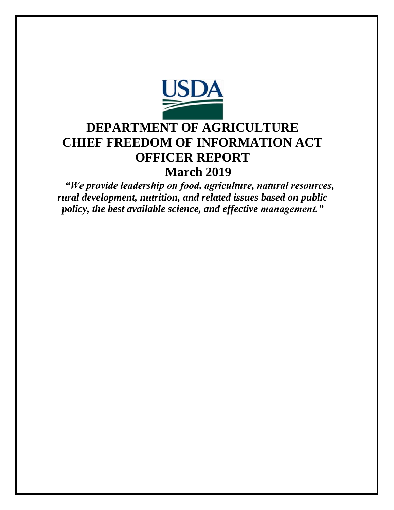

# **DEPARTMENT OF AGRICULTURE CHIEF FREEDOM OF INFORMATION ACT OFFICER REPORT March 2019**

*"We provide leadership on food, agriculture, natural resources, rural development, nutrition, and related issues based on public policy, the best available science, and effective management."*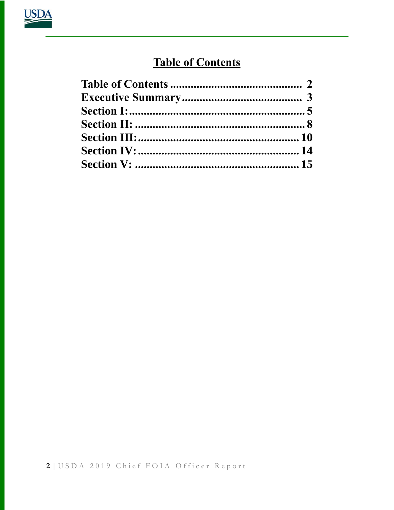

# **Table of Contents**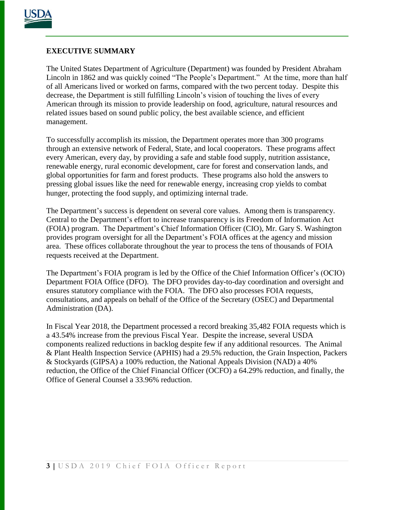

# **EXECUTIVE SUMMARY**

The United States Department of Agriculture (Department) was founded by President Abraham Lincoln in 1862 and was quickly coined "The People's Department." At the time, more than half of all Americans lived or worked on farms, compared with the two percent today. Despite this decrease, the Department is still fulfilling Lincoln's vision of touching the lives of every American through its mission to provide leadership on food, agriculture, natural resources and related issues based on sound public policy, the best available science, and efficient management.

To successfully accomplish its mission, the Department operates more than 300 programs through an extensive network of Federal, State, and local cooperators. These programs affect every American, every day, by providing a safe and stable food supply, nutrition assistance, renewable energy, rural economic development, care for forest and conservation lands, and global opportunities for farm and forest products. These programs also hold the answers to pressing global issues like the need for renewable energy, increasing crop yields to combat hunger, protecting the food supply, and optimizing internal trade.

The Department's success is dependent on several core values. Among them is transparency. Central to the Department's effort to increase transparency is its Freedom of Information Act (FOIA) program. The Department's Chief Information Officer (CIO), Mr. Gary S. Washington provides program oversight for all the Department's FOIA offices at the agency and mission area. These offices collaborate throughout the year to process the tens of thousands of FOIA requests received at the Department.

The Department's FOIA program is led by the Office of the Chief Information Officer's (OCIO) Department FOIA Office (DFO). The DFO provides day-to-day coordination and oversight and ensures statutory compliance with the FOIA. The DFO also processes FOIA requests, consultations, and appeals on behalf of the Office of the Secretary (OSEC) and Departmental Administration (DA).

In Fiscal Year 2018, the Department processed a record breaking 35,482 FOIA requests which is a 43.54% increase from the previous Fiscal Year. Despite the increase, several USDA components realized reductions in backlog despite few if any additional resources. The Animal & Plant Health Inspection Service (APHIS) had a 29.5% reduction, the Grain Inspection, Packers & Stockyards (GIPSA) a 100% reduction, the National Appeals Division (NAD) a 40% reduction, the Office of the Chief Financial Officer (OCFO) a 64.29% reduction, and finally, the Office of General Counsel a 33.96% reduction.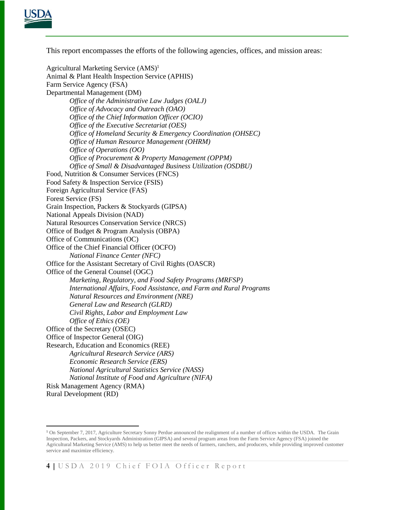

 $\overline{a}$ 

This report encompasses the efforts of the following agencies, offices, and mission areas:

Agricultural Marketing Service  $(AMS)^1$ Animal & Plant Health Inspection Service (APHIS) Farm Service Agency (FSA) Departmental Management (DM) *Office of the Administrative Law Judges (OALJ) Office of Advocacy and Outreach (OAO) Office of the Chief Information Officer (OCIO) Office of the Executive Secretariat (OES) Office of Homeland Security & Emergency Coordination (OHSEC) Office of Human Resource Management (OHRM) Office of Operations (OO) Office of Procurement & Property Management (OPPM) Office of Small & Disadvantaged Business Utilization (OSDBU)* Food, Nutrition & Consumer Services (FNCS) Food Safety & Inspection Service (FSIS) Foreign Agricultural Service (FAS) Forest Service (FS) Grain Inspection, Packers & Stockyards (GIPSA) National Appeals Division (NAD) Natural Resources Conservation Service (NRCS) Office of Budget & Program Analysis (OBPA) Office of Communications (OC) Office of the Chief Financial Officer (OCFO) *National Finance Center (NFC)* Office for the Assistant Secretary of Civil Rights (OASCR) Office of the General Counsel (OGC) *Marketing, Regulatory, and Food Safety Programs (MRFSP) International Affairs, Food Assistance, and Farm and Rural Programs Natural Resources and Environment (NRE) General Law and Research (GLRD) Civil Rights, Labor and Employment Law Office of Ethics (OE)* Office of the Secretary (OSEC) Office of Inspector General (OIG) Research, Education and Economics (REE) *Agricultural Research Service (ARS) Economic Research Service (ERS) National Agricultural Statistics Service (NASS) National Institute of Food and Agriculture (NIFA)* Risk Management Agency (RMA) Rural Development (RD)

<sup>&</sup>lt;sup>1</sup> On September 7, 2017, Agriculture Secretary Sonny Perdue announced the realignment of a number of offices within the USDA. The Grain Inspection, Packers, and Stockyards Administration (GIPSA) and several program areas from the Farm Service Agency (FSA) joined the Agricultural Marketing Service (AMS) to help us better meet the needs of farmers, ranchers, and producers, while providing improved customer service and maximize efficiency.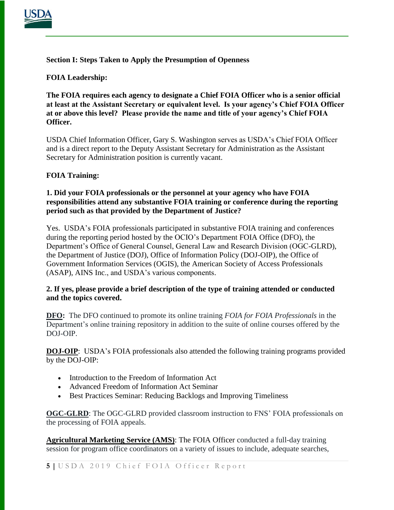

# **Section I: Steps Taken to Apply the Presumption of Openness**

# **FOIA Leadership:**

**The FOIA requires each agency to designate a Chief FOIA Officer who is a senior official at least at the Assistant Secretary or equivalent level. Is your agency's Chief FOIA Officer at or above this level? Please provide the name and title of your agency's Chief FOIA Officer.** 

USDA Chief Information Officer, Gary S. Washington serves as USDA's Chief FOIA Officer and is a direct report to the Deputy Assistant Secretary for Administration as the Assistant Secretary for Administration position is currently vacant.

# **FOIA Training:**

### **1. Did your FOIA professionals or the personnel at your agency who have FOIA responsibilities attend any substantive FOIA training or conference during the reporting period such as that provided by the Department of Justice?**

Yes. USDA's FOIA professionals participated in substantive FOIA training and conferences during the reporting period hosted by the OCIO's Department FOIA Office (DFO), the Department's Office of General Counsel, General Law and Research Division (OGC-GLRD), the Department of Justice (DOJ), Office of Information Policy (DOJ-OIP), the Office of Government Information Services (OGIS), the American Society of Access Professionals (ASAP), AINS Inc., and USDA's various components.

# **2. If yes, please provide a brief description of the type of training attended or conducted and the topics covered.**

**DFO:** The DFO continued to promote its online training *FOIA for FOIA Professionals* in the Department's online training repository in addition to the suite of online courses offered by the DOJ-OIP.

**DOJ-OIP**: USDA's FOIA professionals also attended the following training programs provided by the DOJ-OIP:

- Introduction to the Freedom of Information Act
- Advanced Freedom of Information Act Seminar
- Best Practices Seminar: Reducing Backlogs and Improving Timeliness

**OGC-GLRD**: The OGC-GLRD provided classroom instruction to FNS' FOIA professionals on the processing of FOIA appeals.

**Agricultural Marketing Service (AMS)**: The FOIA Officer conducted a full-day training session for program office coordinators on a variety of issues to include, adequate searches,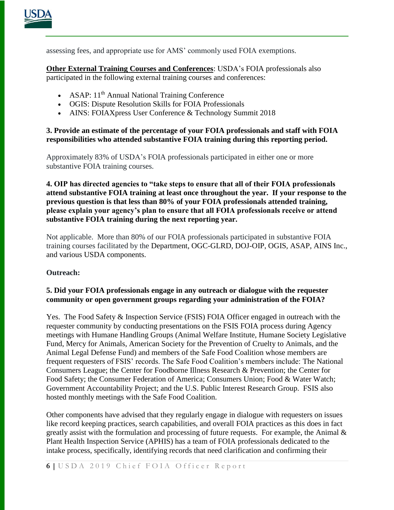

assessing fees, and appropriate use for AMS' commonly used FOIA exemptions.

**Other External Training Courses and Conferences**: USDA's FOIA professionals also participated in the following external training courses and conferences:

- ASAP: 11<sup>th</sup> Annual National Training Conference
- OGIS: Dispute Resolution Skills for FOIA Professionals
- AINS: FOIAXpress User Conference & Technology Summit 2018

# **3. Provide an estimate of the percentage of your FOIA professionals and staff with FOIA responsibilities who attended substantive FOIA training during this reporting period.**

Approximately 83% of USDA's FOIA professionals participated in either one or more substantive FOIA training courses.

**4. OIP has directed agencies to "take steps to ensure that all of their FOIA professionals attend substantive FOIA training at least once throughout the year. If your response to the previous question is that less than 80% of your FOIA professionals attended training, please explain your agency's plan to ensure that all FOIA professionals receive or attend substantive FOIA training during the next reporting year.** 

Not applicable. More than 80% of our FOIA professionals participated in substantive FOIA training courses facilitated by the Department, OGC-GLRD, DOJ-OIP, OGIS, ASAP, AINS Inc., and various USDA components.

# **Outreach:**

# **5. Did your FOIA professionals engage in any outreach or dialogue with the requester community or open government groups regarding your administration of the FOIA?**

Yes. The Food Safety & Inspection Service (FSIS) FOIA Officer engaged in outreach with the requester community by conducting presentations on the FSIS FOIA process during Agency meetings with Humane Handling Groups (Animal Welfare Institute, Humane Society Legislative Fund, Mercy for Animals, American Society for the Prevention of Cruelty to Animals, and the Animal Legal Defense Fund) and members of the Safe Food Coalition whose members are frequent requesters of FSIS' records. The Safe Food Coalition's members include: The National Consumers League; the Center for Foodborne Illness Research & Prevention; the Center for Food Safety; the Consumer Federation of America; Consumers Union; Food & Water Watch; Government Accountability Project; and the U.S. Public Interest Research Group. FSIS also hosted monthly meetings with the Safe Food Coalition.

Other components have advised that they regularly engage in dialogue with requesters on issues like record keeping practices, search capabilities, and overall FOIA practices as this does in fact greatly assist with the formulation and processing of future requests. For example, the Animal & Plant Health Inspection Service (APHIS) has a team of FOIA professionals dedicated to the intake process, specifically, identifying records that need clarification and confirming their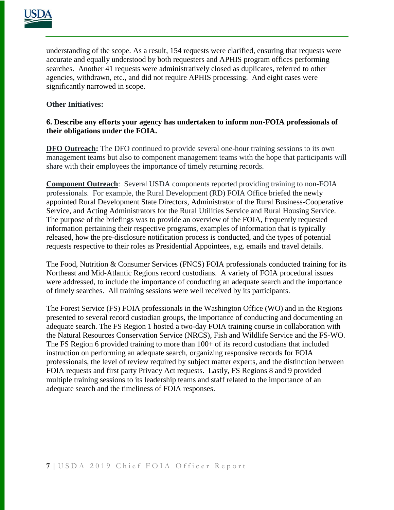

understanding of the scope. As a result, 154 requests were clarified, ensuring that requests were accurate and equally understood by both requesters and APHIS program offices performing searches. Another 41 requests were administratively closed as duplicates, referred to other agencies, withdrawn, etc., and did not require APHIS processing. And eight cases were significantly narrowed in scope.

# **Other Initiatives:**

## **6. Describe any efforts your agency has undertaken to inform non-FOIA professionals of their obligations under the FOIA.**

**DFO Outreach:** The DFO continued to provide several one-hour training sessions to its own management teams but also to component management teams with the hope that participants will share with their employees the importance of timely returning records.

**Component Outreach**: Several USDA components reported providing training to non-FOIA professionals. For example, the Rural Development (RD) FOIA Office briefed the newly appointed Rural Development State Directors, Administrator of the Rural Business-Cooperative Service, and Acting Administrators for the Rural Utilities Service and Rural Housing Service. The purpose of the briefings was to provide an overview of the FOIA, frequently requested information pertaining their respective programs, examples of information that is typically released, how the pre-disclosure notification process is conducted, and the types of potential requests respective to their roles as Presidential Appointees, e.g. emails and travel details.

The Food, Nutrition & Consumer Services (FNCS) FOIA professionals conducted training for its Northeast and Mid-Atlantic Regions record custodians. A variety of FOIA procedural issues were addressed, to include the importance of conducting an adequate search and the importance of timely searches. All training sessions were well received by its participants.

The Forest Service (FS) FOIA professionals in the Washington Office (WO) and in the Regions presented to several record custodian groups, the importance of conducting and documenting an adequate search. The FS Region 1 hosted a two-day FOIA training course in collaboration with the Natural Resources Conservation Service (NRCS), Fish and Wildlife Service and the FS-WO. The FS Region 6 provided training to more than  $100+$  of its record custodians that included instruction on performing an adequate search, organizing responsive records for FOIA professionals, the level of review required by subject matter experts, and the distinction between FOIA requests and first party Privacy Act requests. Lastly, FS Regions 8 and 9 provided multiple training sessions to its leadership teams and staff related to the importance of an adequate search and the timeliness of FOIA responses.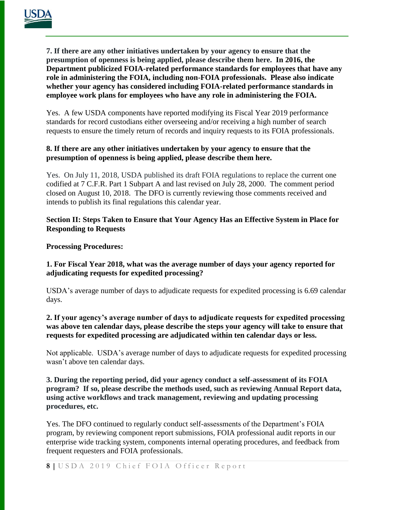**7. If there are any other initiatives undertaken by your agency to ensure that the presumption of openness is being applied, please describe them here. In 2016, the Department [publicized](https://www.justice.gov/oip/blog/doj-stresses-importance-foia-and-open-government-through-performance-standards-employees) FOIA-related performance standards for employees that have any role in administering the FOIA, including non-FOIA professionals. Please also indicate whether your agency has considered including FOIA-related performance standards in employee work plans for employees who have any role in administering the FOIA.**

Yes. A few USDA components have reported modifying its Fiscal Year 2019 performance standards for record custodians either overseeing and/or receiving a high number of search requests to ensure the timely return of records and inquiry requests to its FOIA professionals.

# **8. If there are any other initiatives undertaken by your agency to ensure that the presumption of openness is being applied, please describe them here.**

Yes.On July 11, 2018, USDA published its draft FOIA regulations to replace the current one codified at 7 C.F.R. Part 1 Subpart A and last revised on July 28, 2000. The comment period closed on August 10, 2018. The DFO is currently reviewing those comments received and intends to publish its final regulations this calendar year.

# **Section II: Steps Taken to Ensure that Your Agency Has an Effective System in Place for Responding to Requests**

**Processing Procedures:**

# **1. For Fiscal Year 2018, what was the average number of days your agency reported for adjudicating requests for expedited processing?**

USDA's average number of days to adjudicate requests for expedited processing is 6.69 calendar days.

# **2. If your agency's average number of days to adjudicate requests for expedited processing was above ten calendar days, please describe the steps your agency will take to ensure that requests for expedited processing are adjudicated within ten calendar days or less.**

Not applicable. USDA's average number of days to adjudicate requests for expedited processing wasn't above ten calendar days.

#### **3. During the reporting period, did your agency conduct a self-assessment of its FOIA program? If so, please describe the methods used, such as reviewing Annual Report data, using active workflows and track management, reviewing and updating processing procedures, etc.**

Yes. The DFO continued to regularly conduct self-assessments of the Department's FOIA program, by reviewing component report submissions, FOIA professional audit reports in our enterprise wide tracking system, components internal operating procedures, and feedback from frequent requesters and FOIA professionals.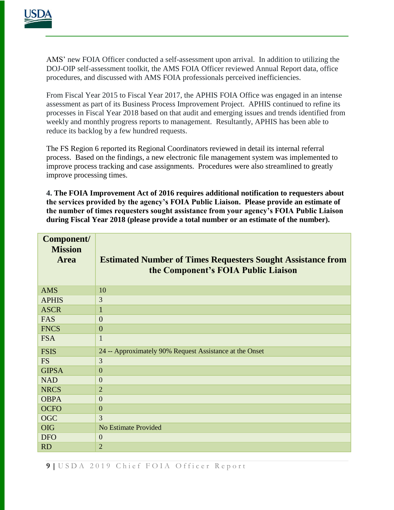

AMS' new FOIA Officer conducted a self-assessment upon arrival. In addition to utilizing the DOJ-OIP self-assessment toolkit, the AMS FOIA Officer reviewed Annual Report data, office procedures, and discussed with AMS FOIA professionals perceived inefficiencies.

From Fiscal Year 2015 to Fiscal Year 2017, the APHIS FOIA Office was engaged in an intense assessment as part of its Business Process Improvement Project. APHIS continued to refine its processes in Fiscal Year 2018 based on that audit and emerging issues and trends identified from weekly and monthly progress reports to management. Resultantly, APHIS has been able to reduce its backlog by a few hundred requests.

The FS Region 6 reported its Regional Coordinators reviewed in detail its internal referral process. Based on the findings, a new electronic file management system was implemented to improve process tracking and case assignments. Procedures were also streamlined to greatly improve processing times.

**4. The FOIA Improvement Act of 2016 requires additional notification to requesters about the services provided by the agency's FOIA Public Liaison. Please provide an estimate of the number of times requesters sought assistance from your agency's FOIA Public Liaison during Fiscal Year 2018 (please provide a total number or an estimate of the number).**

| Component/<br><b>Mission</b><br><b>Area</b> | <b>Estimated Number of Times Requesters Sought Assistance from</b><br>the Component's FOIA Public Liaison |
|---------------------------------------------|-----------------------------------------------------------------------------------------------------------|
| <b>AMS</b>                                  | 10                                                                                                        |
| <b>APHIS</b>                                | 3                                                                                                         |
| <b>ASCR</b>                                 | $\mathbf{1}$                                                                                              |
| <b>FAS</b>                                  | $\overline{0}$                                                                                            |
| <b>FNCS</b>                                 | $\overline{0}$                                                                                            |
| <b>FSA</b>                                  | $\mathbf{1}$                                                                                              |
| <b>FSIS</b>                                 | 24 -- Approximately 90% Request Assistance at the Onset                                                   |
| <b>FS</b>                                   | 3                                                                                                         |
| <b>GIPSA</b>                                | $\overline{0}$                                                                                            |
| <b>NAD</b>                                  | $\mathbf{0}$                                                                                              |
| <b>NRCS</b>                                 | $\overline{2}$                                                                                            |
| <b>OBPA</b>                                 | $\overline{0}$                                                                                            |
| <b>OCFO</b>                                 | $\overline{0}$                                                                                            |
| <b>OGC</b>                                  | 3                                                                                                         |
| <b>OIG</b>                                  | <b>No Estimate Provided</b>                                                                               |
| <b>DFO</b>                                  | $\mathbf{0}$                                                                                              |
| <b>RD</b>                                   | $\overline{2}$                                                                                            |

**9 |** U S D A 2 0 1 9 C h i e f F O I A O f f i c e r R e p o r t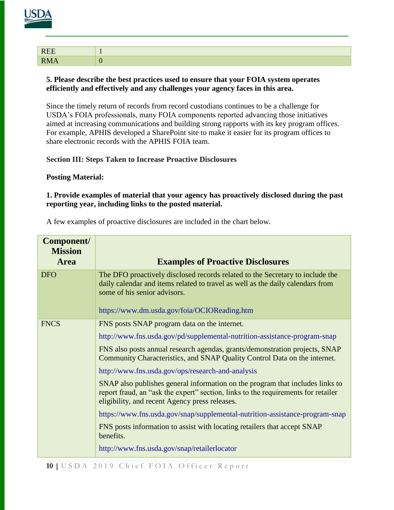# 

| <b>DE</b><br>$\overline{\phantom{a}}$ |  |
|---------------------------------------|--|
| D.                                    |  |

#### **5. Please describe the best practices used to ensure that your FOIA system operates efficiently and effectively and any challenges your agency faces in this area.**

Since the timely return of records from record custodians continues to be a challenge for USDA's FOIA professionals, many FOIA components reported advancing those initiatives aimed at increasing communications and building strong rapports with its key program offices. For example, APHIS developed a SharePoint site to make it easier for its program offices to share electronic records with the APHIS FOIA team.

# **Section III: Steps Taken to Increase Proactive Disclosures**

# **Posting Material:**

# **1. Provide examples of material that your agency has proactively disclosed during the past reporting year, including links to the posted material.**

| Component/<br><b>Mission</b> |                                                                                                                                                                                                                                                 |
|------------------------------|-------------------------------------------------------------------------------------------------------------------------------------------------------------------------------------------------------------------------------------------------|
| <b>Area</b>                  | <b>Examples of Proactive Disclosures</b>                                                                                                                                                                                                        |
| <b>DFO</b>                   | The DFO proactively disclosed records related to the Secretary to include the<br>daily calendar and items related to travel as well as the daily calendars from<br>some of his senior advisors.<br>https://www.dm.usda.gov/foia/OCIOReading.htm |
| <b>FNCS</b>                  | FNS posts SNAP program data on the internet.                                                                                                                                                                                                    |
|                              | http://www.fns.usda.gov/pd/supplemental-nutrition-assistance-program-snap                                                                                                                                                                       |
|                              | FNS also posts annual research agendas, grants/demonstration projects, SNAP<br>Community Characteristics, and SNAP Quality Control Data on the internet.                                                                                        |
|                              | http://www.fns.usda.gov/ops/research-and-analysis                                                                                                                                                                                               |
|                              | SNAP also publishes general information on the program that includes links to<br>report fraud, an "ask the expert" section, links to the requirements for retailer<br>eligibility, and recent Agency press releases.                            |
|                              | https://www.fns.usda.gov/snap/supplemental-nutrition-assistance-program-snap                                                                                                                                                                    |
|                              | FNS posts information to assist with locating retailers that accept SNAP<br>benefits.                                                                                                                                                           |
|                              | http://www.fns.usda.gov/snap/retailerlocator                                                                                                                                                                                                    |

A few examples of proactive disclosures are included in the chart below.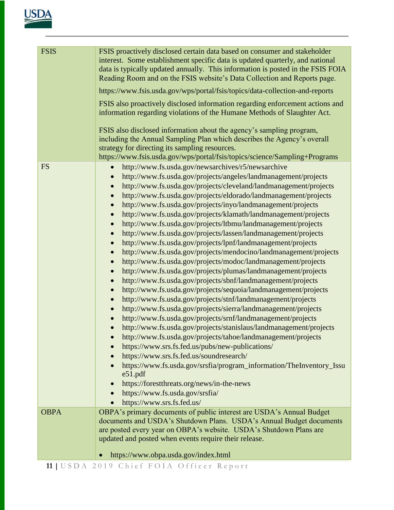| <b>FSIS</b> | FSIS proactively disclosed certain data based on consumer and stakeholder<br>interest. Some establishment specific data is updated quarterly, and national<br>data is typically updated annually. This information is posted in the FSIS FOIA<br>Reading Room and on the FSIS website's Data Collection and Reports page.<br>https://www.fsis.usda.gov/wps/portal/fsis/topics/data-collection-and-reports<br>FSIS also proactively disclosed information regarding enforcement actions and<br>information regarding violations of the Humane Methods of Slaughter Act.<br>FSIS also disclosed information about the agency's sampling program,<br>including the Annual Sampling Plan which describes the Agency's overall<br>strategy for directing its sampling resources.<br>https://www.fsis.usda.gov/wps/portal/fsis/topics/science/Sampling+Programs                                                                                                                                                                                                                                                                                                                                                                                                                                                                                                                                                                                                                                                                                                                                                                                                                                                                                                                                                                            |
|-------------|--------------------------------------------------------------------------------------------------------------------------------------------------------------------------------------------------------------------------------------------------------------------------------------------------------------------------------------------------------------------------------------------------------------------------------------------------------------------------------------------------------------------------------------------------------------------------------------------------------------------------------------------------------------------------------------------------------------------------------------------------------------------------------------------------------------------------------------------------------------------------------------------------------------------------------------------------------------------------------------------------------------------------------------------------------------------------------------------------------------------------------------------------------------------------------------------------------------------------------------------------------------------------------------------------------------------------------------------------------------------------------------------------------------------------------------------------------------------------------------------------------------------------------------------------------------------------------------------------------------------------------------------------------------------------------------------------------------------------------------------------------------------------------------------------------------------------------------|
| <b>FS</b>   | http://www.fs.usda.gov/newsarchives/r5/newsarchive<br>$\bullet$<br>http://www.fs.usda.gov/projects/angeles/landmanagement/projects<br>$\bullet$<br>http://www.fs.usda.gov/projects/cleveland/landmanagement/projects<br>$\bullet$<br>http://www.fs.usda.gov/projects/eldorado/landmanagement/projects<br>$\bullet$<br>http://www.fs.usda.gov/projects/inyo/landmanagement/projects<br>$\bullet$<br>http://www.fs.usda.gov/projects/klamath/landmanagement/projects<br>$\bullet$<br>http://www.fs.usda.gov/projects/ltbmu/landmanagement/projects<br>$\bullet$<br>http://www.fs.usda.gov/projects/lassen/landmanagement/projects<br>$\bullet$<br>http://www.fs.usda.gov/projects/lpnf/landmanagement/projects<br>$\bullet$<br>http://www.fs.usda.gov/projects/mendocino/landmanagement/projects<br>$\bullet$<br>http://www.fs.usda.gov/projects/modoc/landmanagement/projects<br>$\bullet$<br>http://www.fs.usda.gov/projects/plumas/landmanagement/projects<br>$\bullet$<br>http://www.fs.usda.gov/projects/sbnf/landmanagement/projects<br>$\bullet$<br>http://www.fs.usda.gov/projects/sequoia/landmanagement/projects<br>$\bullet$<br>http://www.fs.usda.gov/projects/stnf/landmanagement/projects<br>$\bullet$<br>http://www.fs.usda.gov/projects/sierra/landmanagement/projects<br>http://www.fs.usda.gov/projects/srnf/landmanagement/projects<br>$\bullet$<br>http://www.fs.usda.gov/projects/stanislaus/landmanagement/projects<br>$\bullet$<br>http://www.fs.usda.gov/projects/tahoe/landmanagement/projects<br>https://www.srs.fs.fed.us/pubs/new-publications/<br>https://www.srs.fs.fed.us/soundresearch/<br>https://www.fs.usda.gov/srsfia/program_information/TheInventory_Issu<br>e51.pdf<br>https://forestthreats.org/news/in-the-news<br>$\bullet$<br>https://www.fs.usda.gov/srsfia/<br>https://www.srs.fs.fed.us/ |
| <b>OBPA</b> | OBPA's primary documents of public interest are USDA's Annual Budget<br>documents and USDA's Shutdown Plans. USDA's Annual Budget documents                                                                                                                                                                                                                                                                                                                                                                                                                                                                                                                                                                                                                                                                                                                                                                                                                                                                                                                                                                                                                                                                                                                                                                                                                                                                                                                                                                                                                                                                                                                                                                                                                                                                                          |
|             | are posted every year on OBPA's website. USDA's Shutdown Plans are<br>updated and posted when events require their release.                                                                                                                                                                                                                                                                                                                                                                                                                                                                                                                                                                                                                                                                                                                                                                                                                                                                                                                                                                                                                                                                                                                                                                                                                                                                                                                                                                                                                                                                                                                                                                                                                                                                                                          |
|             | https://www.obpa.usda.gov/index.html                                                                                                                                                                                                                                                                                                                                                                                                                                                                                                                                                                                                                                                                                                                                                                                                                                                                                                                                                                                                                                                                                                                                                                                                                                                                                                                                                                                                                                                                                                                                                                                                                                                                                                                                                                                                 |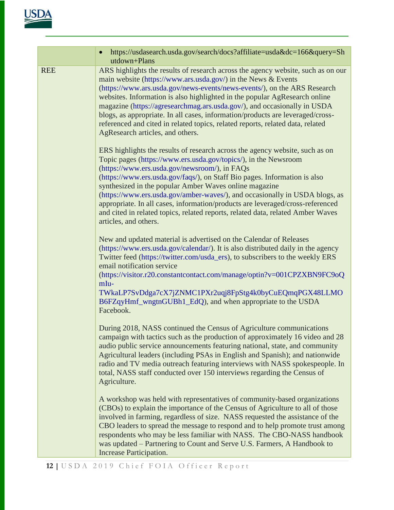|            | https://usdasearch.usda.gov/search/docs?affiliate=usda&dc=166&query=Sh<br>utdown+Plans                                                                                                                                                                                                                                                                                                                                                                                                                                                                                                                               |
|------------|----------------------------------------------------------------------------------------------------------------------------------------------------------------------------------------------------------------------------------------------------------------------------------------------------------------------------------------------------------------------------------------------------------------------------------------------------------------------------------------------------------------------------------------------------------------------------------------------------------------------|
| <b>REE</b> | ARS highlights the results of research across the agency website, such as on our<br>main website (https://www.ars.usda.gov/) in the News & Events<br>(https://www.ars.usda.gov/news-events/news-events/), on the ARS Research<br>websites. Information is also highlighted in the popular AgResearch online<br>magazine (https://agresearchmag.ars.usda.gov/), and occasionally in USDA<br>blogs, as appropriate. In all cases, information/products are leveraged/cross-<br>referenced and cited in related topics, related reports, related data, related<br>AgResearch articles, and others.                      |
|            | ERS highlights the results of research across the agency website, such as on<br>Topic pages (https://www.ers.usda.gov/topics/), in the Newsroom<br>(https://www.ers.usda.gov/newsroom/), in FAQs<br>(https://www.ers.usda.gov/faqs/), on Staff Bio pages. Information is also<br>synthesized in the popular Amber Waves online magazine<br>(https://www.ers.usda.gov/amber-waves/), and occasionally in USDA blogs, as<br>appropriate. In all cases, information/products are leveraged/cross-referenced<br>and cited in related topics, related reports, related data, related Amber Waves<br>articles, and others. |
|            | New and updated material is advertised on the Calendar of Releases<br>(https://www.ers.usda.gov/calendar/). It is also distributed daily in the agency<br>Twitter feed (https://twitter.com/usda_ers), to subscribers to the weekly ERS<br>email notification service<br>(https://visitor.r20.constantcontact.com/manage/optin?v=001CPZXBN9FC9oQ<br>mIu-<br>TWkaLP7SvDdga7cX7jZNMC1PXr2uqj8FpStg4k0byCuEQmqPGX48LLMO<br>B6FZqyHmf_wngtnGUBh1_EdQ), and when appropriate to the USDA<br>Facebook.                                                                                                                     |
|            | During 2018, NASS continued the Census of Agriculture communications<br>campaign with tactics such as the production of approximately 16 video and 28<br>audio public service announcements featuring national, state, and community<br>Agricultural leaders (including PSAs in English and Spanish); and nationwide<br>radio and TV media outreach featuring interviews with NASS spokespeople. In<br>total, NASS staff conducted over 150 interviews regarding the Census of<br>Agriculture.                                                                                                                       |
|            | A workshop was held with representatives of community-based organizations<br>(CBOs) to explain the importance of the Census of Agriculture to all of those<br>involved in farming, regardless of size. NASS requested the assistance of the<br>CBO leaders to spread the message to respond and to help promote trust among<br>respondents who may be less familiar with NASS. The CBO-NASS handbook<br>was updated – Partnering to Count and Serve U.S. Farmers, A Handbook to<br><b>Increase Participation.</b>                                                                                                    |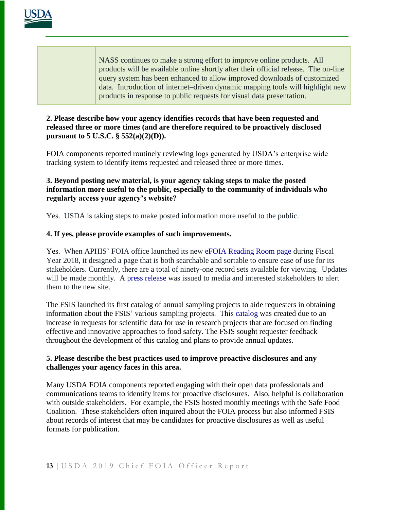

NASS continues to make a strong effort to improve online products. All products will be available online shortly after their official release. The on-line query system has been enhanced to allow improved downloads of customized data. Introduction of internet–driven dynamic mapping tools will highlight new products in response to public requests for visual data presentation.

#### **2. Please describe how your agency identifies records that have been requested and released three or more times (and are therefore required to be proactively disclosed pursuant to 5 U.S.C. § 552(a)(2)(D)).**

FOIA components reported routinely reviewing logs generated by USDA's enterprise wide tracking system to identify items requested and released three or more times.

# **3. Beyond posting new material, is your agency taking steps to make the posted information more useful to the public, especially to the community of individuals who regularly access your agency's website?**

Yes. USDA is taking steps to make posted information more useful to the public.

# **4. If yes, please provide examples of such improvements.**

Yes. When APHIS' FOIA office launched its new [eFOIA Reading Room page](https://www.aphis.usda.gov/aphis/resources/foia/FOIA-Request/frequent-foia-requests) during Fiscal Year 2018, it designed a page that is both searchable and sortable to ensure ease of use for its stakeholders. Currently, there are a total of ninety-one record sets available for viewing. Updates will be made monthly. A [press release](https://www.aphis.usda.gov/aphis/newsroom/stakeholder-info/sa_by_date/sa-2018/sa-02/frequently-requested-records) was issued to media and interested stakeholders to alert them to the new site.

The FSIS launched its first catalog of annual sampling projects to aide requesters in obtaining information about the FSIS' various sampling projects. This [catalog](https://askkaren.gov/wps/portal/fsis/topics/careers/!ut/p/a1/rVZNc5swEP01PmrQFyCOLlOT4hiP7TS1uWSEELZcg4mhmba_viKZTrA9RThFHNDCe0_L7mqRFVtrKy74i9ryWh0Lfmjs2HmCC-ggz4chRPr6EpEVvQsjAle2BmzagLmHJhrwuJhPfR-yiPTk_2OMYSd_6lyufw3o4i-ggb-4WP_i84zfrwHn_Mm4eU0mjywKEJw71jcrtmJR1GW9szZZpSogjkUti3oElb6fCqlnOVfFCNbHUolqBCuhZCFkQyz5VqayUtvi1RIqtTaCuIhSBgF3EAFUJBh4mScAoyKFCeHCpujK7Su_utxGroGvAV18nxj4fnfZONSQNg3oWn9qG9af2p1px64h7dg1lX3Yo67xaebPtk2S6x1QRXa01lUppdjJCpQnWekied2mVes5P4mdepEAQ4jfasuwO98AHduv09E5NQB8ZABQbG10LN13QLBsAJPVAwrsTyhwkLV6L-6UUZtjmIKEpB6gCdUziRngCDHKmMBJQkyCZGDBGRxaEA8teHsMQ1Pj0gWq9s_P8Vi3r6Zj_aytdZ_-ZXDVttuuUkk9TJIMJCxjgErX0U4LCQRijDiYOwxRk6A7sOA9HVrQGVrw9hiGPRrmh9I9gqcfB5nz76rYXrp93gqC4CwOvX5j3YILNLCgT_9X8DxTEOGhBdHQgmRgwTs4tODtMQx7nEo_WO1_D2dl_rUZOdtn02bc24e9s_y8ZJDY5cvvhyzPn6IIxEnb4gn7RdpWCzyrxn8AjTUAJQ!!/?1dmy¤t=true&urile=wcm%3Apath%3A%2FFSIS-Content%2Finternet%2Fmain%2Ftopics%2Fscience%2FSampling%2BPrograms) was created due to an increase in requests for scientific data for use in research projects that are focused on finding effective and innovative approaches to food safety. The FSIS sought requester feedback throughout the development of this catalog and plans to provide annual updates.

#### **5. Please describe the best practices used to improve proactive disclosures and any challenges your agency faces in this area.**

Many USDA FOIA components reported engaging with their open data professionals and communications teams to identify items for proactive disclosures. Also, helpful is collaboration with outside stakeholders. For example, the FSIS hosted monthly meetings with the Safe Food Coalition. These stakeholders often inquired about the FOIA process but also informed FSIS about records of interest that may be candidates for proactive disclosures as well as useful formats for publication.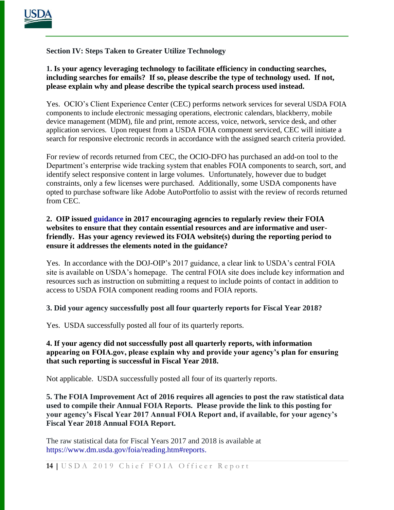

# **Section IV: Steps Taken to Greater Utilize Technology**

**1. Is your agency leveraging technology to facilitate efficiency in conducting searches, including searches for emails? If so, please describe the type of technology used. If not, please explain why and please describe the typical search process used instead.**

Yes. OCIO's Client Experience Center (CEC) performs network services for several USDA FOIA components to include electronic messaging operations, electronic calendars, blackberry, mobile device management (MDM), file and print, remote access, voice, network, service desk, and other application services. Upon request from a USDA FOIA component serviced, CEC will initiate a search for responsive electronic records in accordance with the assigned search criteria provided.

For review of records returned from CEC, the OCIO-DFO has purchased an add-on tool to the Department's enterprise wide tracking system that enables FOIA components to search, sort, and identify select responsive content in large volumes. Unfortunately, however due to budget constraints, only a few licenses were purchased. Additionally, some USDA components have opted to purchase software like Adobe AutoPortfolio to assist with the review of records returned from CEC.

### **2. OIP issued [guidance](https://www.justice.gov/oip/oip-guidance/OIP%20Guidance%3A%20%20Agency%20FOIA%20Websites%202.0) in 2017 encouraging agencies to regularly review their FOIA websites to ensure that they contain essential resources and are informative and userfriendly. Has your agency reviewed its FOIA website(s) during the reporting period to ensure it addresses the elements noted in the guidance?**

Yes. In accordance with the DOJ-OIP's 2017 guidance, a clear link to USDA's central FOIA site is available on USDA's homepage. The central FOIA site does include key information and resources such as instruction on submitting a request to include points of contact in addition to access to USDA FOIA component reading rooms and FOIA reports.

# **3. Did your agency successfully post all four quarterly reports for Fiscal Year 2018?**

Yes. USDA successfully posted all four of its quarterly reports.

# **4. If your agency did not successfully post all quarterly reports, with information appearing on FOIA.gov, please explain why and provide your agency's plan for ensuring that such reporting is successful in Fiscal Year 2018.**

Not applicable. USDA successfully posted all four of its quarterly reports.

**5. The FOIA Improvement Act of 2016 requires all agencies to post the raw statistical data used to compile their Annual FOIA Reports. Please provide the link to this posting for your agency's Fiscal Year 2017 Annual FOIA Report and, if available, for your agency's Fiscal Year 2018 Annual FOIA Report.** 

The raw statistical data for Fiscal Years 2017 and 2018 is available at [https://www.dm.usda.gov/foia/reading.htm#reports.](https://www.dm.usda.gov/foia/reading.htm#reports)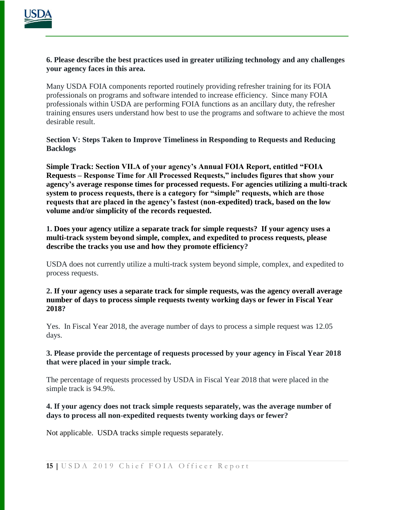

#### **6. Please describe the best practices used in greater utilizing technology and any challenges your agency faces in this area.**

Many USDA FOIA components reported routinely providing refresher training for its FOIA professionals on programs and software intended to increase efficiency. Since many FOIA professionals within USDA are performing FOIA functions as an ancillary duty, the refresher training ensures users understand how best to use the programs and software to achieve the most desirable result.

**Section V: Steps Taken to Improve Timeliness in Responding to Requests and Reducing Backlogs**

**Simple Track: Section VII.A of your agency's Annual FOIA Report, entitled "FOIA Requests – Response Time for All Processed Requests," includes figures that show your agency's average response times for processed requests. For agencies utilizing a multi-track system to process requests, there is a category for "simple" requests, which are those requests that are placed in the agency's fastest (non-expedited) track, based on the low volume and/or simplicity of the records requested.**

**1. Does your agency utilize a separate track for simple requests? If your agency uses a multi-track system beyond simple, complex, and expedited to process requests, please describe the tracks you use and how they promote efficiency?**

USDA does not currently utilize a multi-track system beyond simple, complex, and expedited to process requests.

**2. If your agency uses a separate track for simple requests, was the agency overall average number of days to process simple requests twenty working days or fewer in Fiscal Year 2018?**

Yes. In Fiscal Year 2018, the average number of days to process a simple request was 12.05 days.

#### **3. Please provide the percentage of requests processed by your agency in Fiscal Year 2018 that were placed in your simple track.**

The percentage of requests processed by USDA in Fiscal Year 2018 that were placed in the simple track is 94.9%.

#### **4. If your agency does not track simple requests separately, was the average number of days to process all non-expedited requests twenty working days or fewer?**

Not applicable. USDA tracks simple requests separately.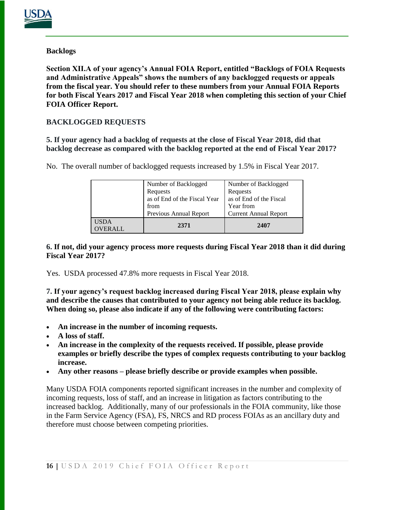

# **Backlogs**

**Section XII.A of your agency's Annual FOIA Report, entitled "Backlogs of FOIA Requests and Administrative Appeals" shows the numbers of any backlogged requests or appeals from the fiscal year. You should refer to these numbers from your Annual FOIA Reports for both Fiscal Years 2017 and Fiscal Year 2018 when completing this section of your Chief FOIA Officer Report.**

# **BACKLOGGED REQUESTS**

**5. If your agency had a backlog of requests at the close of Fiscal Year 2018, did that backlog decrease as compared with the backlog reported at the end of Fiscal Year 2017?** 

| Number of Backlogged | Number of Backlogged |
|----------------------|----------------------|
| .                    |                      |

No. The overall number of backlogged requests increased by 1.5% in Fiscal Year 2017.

| <b>USDA</b><br><b>OVERALL</b> | 2371                         | 2407                         |
|-------------------------------|------------------------------|------------------------------|
|                               | Previous Annual Report       | <b>Current Annual Report</b> |
|                               | from                         | Year from                    |
|                               | as of End of the Fiscal Year | as of End of the Fiscal      |
|                               | Requests                     | Requests                     |
|                               | Number of Backlogged         | Number of Backlogged         |

#### **6. If not, did your agency process more requests during Fiscal Year 2018 than it did during Fiscal Year 2017?**

Yes. USDA processed 47.8% more requests in Fiscal Year 2018.

**7. If your agency's request backlog increased during Fiscal Year 2018, please explain why and describe the causes that contributed to your agency not being able reduce its backlog. When doing so, please also indicate if any of the following were contributing factors:**

- **An increase in the number of incoming requests.**
- **A loss of staff.**
- **An increase in the complexity of the requests received. If possible, please provide examples or briefly describe the types of complex requests contributing to your backlog increase.**
- **Any other reasons – please briefly describe or provide examples when possible.**

Many USDA FOIA components reported significant increases in the number and complexity of incoming requests, loss of staff, and an increase in litigation as factors contributing to the increased backlog. Additionally, many of our professionals in the FOIA community, like those in the Farm Service Agency (FSA), FS, NRCS and RD process FOIAs as an ancillary duty and therefore must choose between competing priorities.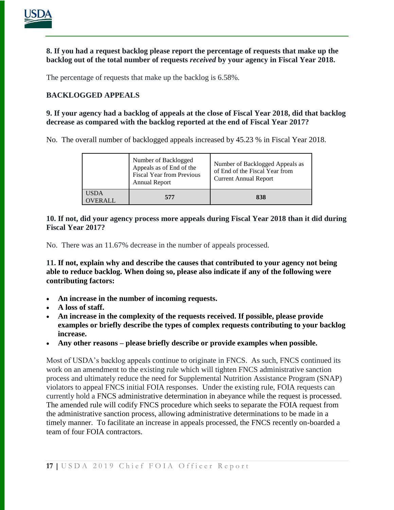

**8. If you had a request backlog please report the percentage of requests that make up the backlog out of the total number of requests** *received* **by your agency in Fiscal Year 2018.**

The percentage of requests that make up the backlog is 6.58%.

# **BACKLOGGED APPEALS**

**9. If your agency had a backlog of appeals at the close of Fiscal Year 2018, did that backlog decrease as compared with the backlog reported at the end of Fiscal Year 2017?** 

No. The overall number of backlogged appeals increased by 45.23 % in Fiscal Year 2018.

|                             | Number of Backlogged<br>Appeals as of End of the<br><b>Fiscal Year from Previous</b><br><b>Annual Report</b> | Number of Backlogged Appeals as<br>of End of the Fiscal Year from<br><b>Current Annual Report</b> |
|-----------------------------|--------------------------------------------------------------------------------------------------------------|---------------------------------------------------------------------------------------------------|
| <b>USDA</b><br><b>FRALL</b> | 577                                                                                                          | 838                                                                                               |

#### **10. If not, did your agency process more appeals during Fiscal Year 2018 than it did during Fiscal Year 2017?**

No. There was an 11.67% decrease in the number of appeals processed.

**11. If not, explain why and describe the causes that contributed to your agency not being able to reduce backlog. When doing so, please also indicate if any of the following were contributing factors:**

- **An increase in the number of incoming requests.**
- **A loss of staff.**
- **An increase in the complexity of the requests received. If possible, please provide examples or briefly describe the types of complex requests contributing to your backlog increase.**
- **Any other reasons – please briefly describe or provide examples when possible.**

Most of USDA's backlog appeals continue to originate in FNCS. As such, FNCS continued its work on an amendment to the existing rule which will tighten FNCS administrative sanction process and ultimately reduce the need for Supplemental Nutrition Assistance Program (SNAP) violators to appeal FNCS initial FOIA responses. Under the existing rule, FOIA requests can currently hold a FNCS administrative determination in abeyance while the request is processed. The amended rule will codify FNCS procedure which seeks to separate the FOIA request from the administrative sanction process, allowing administrative determinations to be made in a timely manner. To facilitate an increase in appeals processed, the FNCS recently on-boarded a team of four FOIA contractors.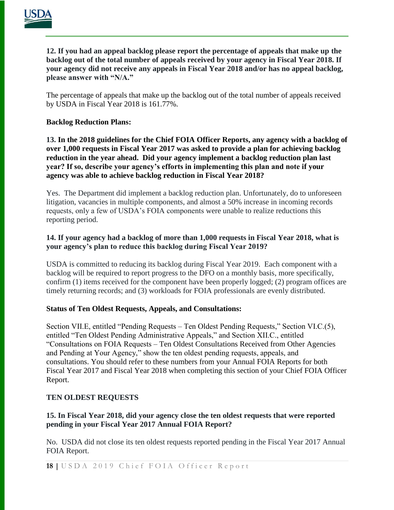

**12. If you had an appeal backlog please report the percentage of appeals that make up the backlog out of the total number of appeals received by your agency in Fiscal Year 2018. If your agency did not receive any appeals in Fiscal Year 2018 and/or has no appeal backlog, please answer with "N/A."**

The percentage of appeals that make up the backlog out of the total number of appeals received by USDA in Fiscal Year 2018 is 161.77%.

#### **Backlog Reduction Plans:**

**13. In the 2018 guidelines for the Chief FOIA Officer Reports, any agency with a backlog of over 1,000 requests in Fiscal Year 2017 was asked to provide a plan for achieving backlog reduction in the year ahead. Did your agency implement a backlog reduction plan last year? If so, describe your agency's efforts in implementing this plan and note if your agency was able to achieve backlog reduction in Fiscal Year 2018?**

Yes. The Department did implement a backlog reduction plan. Unfortunately, do to unforeseen litigation, vacancies in multiple components, and almost a 50% increase in incoming records requests, only a few of USDA's FOIA components were unable to realize reductions this reporting period.

# **14. If your agency had a backlog of more than 1,000 requests in Fiscal Year 2018, what is your agency's plan to reduce this backlog during Fiscal Year 2019?**

USDA is committed to reducing its backlog during Fiscal Year 2019. Each component with a backlog will be required to report progress to the DFO on a monthly basis, more specifically, confirm (1) items received for the component have been properly logged; (2) program offices are timely returning records; and (3) workloads for FOIA professionals are evenly distributed.

# **Status of Ten Oldest Requests, Appeals, and Consultations:**

Section VII.E, entitled "Pending Requests – Ten Oldest Pending Requests," Section VI.C.(5), entitled "Ten Oldest Pending Administrative Appeals," and Section XII.C., entitled "Consultations on FOIA Requests – Ten Oldest Consultations Received from Other Agencies and Pending at Your Agency," show the ten oldest pending requests, appeals, and consultations. You should refer to these numbers from your Annual FOIA Reports for both Fiscal Year 2017 and Fiscal Year 2018 when completing this section of your Chief FOIA Officer Report.

# **TEN OLDEST REQUESTS**

# **15. In Fiscal Year 2018, did your agency close the ten oldest requests that were reported pending in your Fiscal Year 2017 Annual FOIA Report?**

No. USDA did not close its ten oldest requests reported pending in the Fiscal Year 2017 Annual FOIA Report.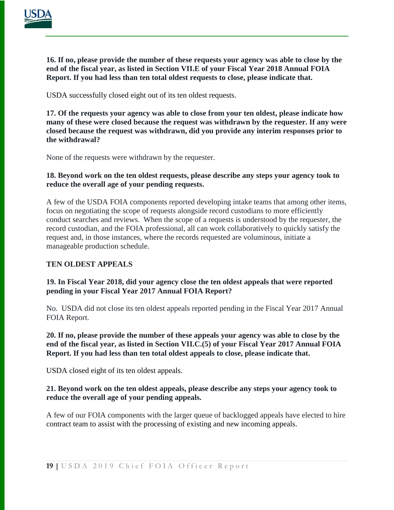

**16. If no, please provide the number of these requests your agency was able to close by the end of the fiscal year, as listed in Section VII.E of your Fiscal Year 2018 Annual FOIA Report. If you had less than ten total oldest requests to close, please indicate that.** 

USDA successfully closed eight out of its ten oldest requests.

**17. Of the requests your agency was able to close from your ten oldest, please indicate how many of these were closed because the request was withdrawn by the requester. If any were closed because the request was withdrawn, did you provide any interim responses prior to the withdrawal?**

None of the requests were withdrawn by the requester.

**18. Beyond work on the ten oldest requests, please describe any steps your agency took to reduce the overall age of your pending requests.**

A few of the USDA FOIA components reported developing intake teams that among other items, focus on negotiating the scope of requests alongside record custodians to more efficiently conduct searches and reviews. When the scope of a requests is understood by the requester, the record custodian, and the FOIA professional, all can work collaboratively to quickly satisfy the request and, in those instances, where the records requested are voluminous, initiate a manageable production schedule.

# **TEN OLDEST APPEALS**

# **19. In Fiscal Year 2018, did your agency close the ten oldest appeals that were reported pending in your Fiscal Year 2017 Annual FOIA Report?**

No. USDA did not close its ten oldest appeals reported pending in the Fiscal Year 2017 Annual FOIA Report.

#### **20. If no, please provide the number of these appeals your agency was able to close by the end of the fiscal year, as listed in Section VII.C.(5) of your Fiscal Year 2017 Annual FOIA Report. If you had less than ten total oldest appeals to close, please indicate that.**

USDA closed eight of its ten oldest appeals.

#### **21. Beyond work on the ten oldest appeals, please describe any steps your agency took to reduce the overall age of your pending appeals.**

A few of our FOIA components with the larger queue of backlogged appeals have elected to hire contract team to assist with the processing of existing and new incoming appeals.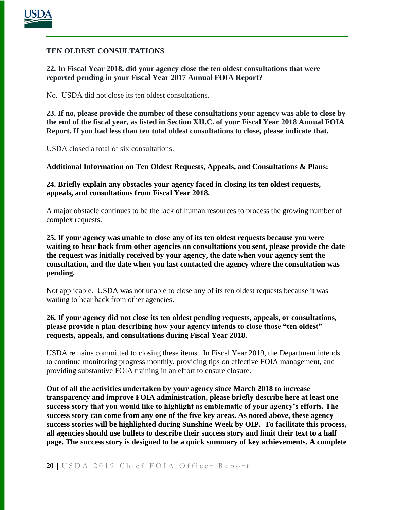

#### **TEN OLDEST CONSULTATIONS**

**22. In Fiscal Year 2018, did your agency close the ten oldest consultations that were reported pending in your Fiscal Year 2017 Annual FOIA Report?**

No. USDA did not close its ten oldest consultations.

**23. If no, please provide the number of these consultations your agency was able to close by the end of the fiscal year, as listed in Section XII.C. of your Fiscal Year 2018 Annual FOIA Report. If you had less than ten total oldest consultations to close, please indicate that.** 

USDA closed a total of six consultations.

**Additional Information on Ten Oldest Requests, Appeals, and Consultations & Plans:**

**24. Briefly explain any obstacles your agency faced in closing its ten oldest requests, appeals, and consultations from Fiscal Year 2018.**

A major obstacle continues to be the lack of human resources to process the growing number of complex requests.

**25. If your agency was unable to close any of its ten oldest requests because you were waiting to hear back from other agencies on consultations you sent, please provide the date the request was initially received by your agency, the date when your agency sent the consultation, and the date when you last contacted the agency where the consultation was pending.**

Not applicable. USDA was not unable to close any of its ten oldest requests because it was waiting to hear back from other agencies.

**26. If your agency did not close its ten oldest pending requests, appeals, or consultations, please provide a plan describing how your agency intends to close those "ten oldest" requests, appeals, and consultations during Fiscal Year 2018.**

USDA remains committed to closing these items. In Fiscal Year 2019, the Department intends to continue monitoring progress monthly, providing tips on effective FOIA management, and providing substantive FOIA training in an effort to ensure closure.

**Out of all the activities undertaken by your agency since March 2018 to increase transparency and improve FOIA administration, please briefly describe here at least one success story that you would like to highlight as emblematic of your agency's efforts. The success story can come from any one of the five key areas. As noted above, these agency [success stories](http://www.foia.gov/2011foiapost03.html) will be highlighted during Sunshine Week by OIP. To facilitate this process, all agencies should use bullets to describe their success story and limit their text to a half page. The success story is designed to be a quick summary of key achievements. A complete**